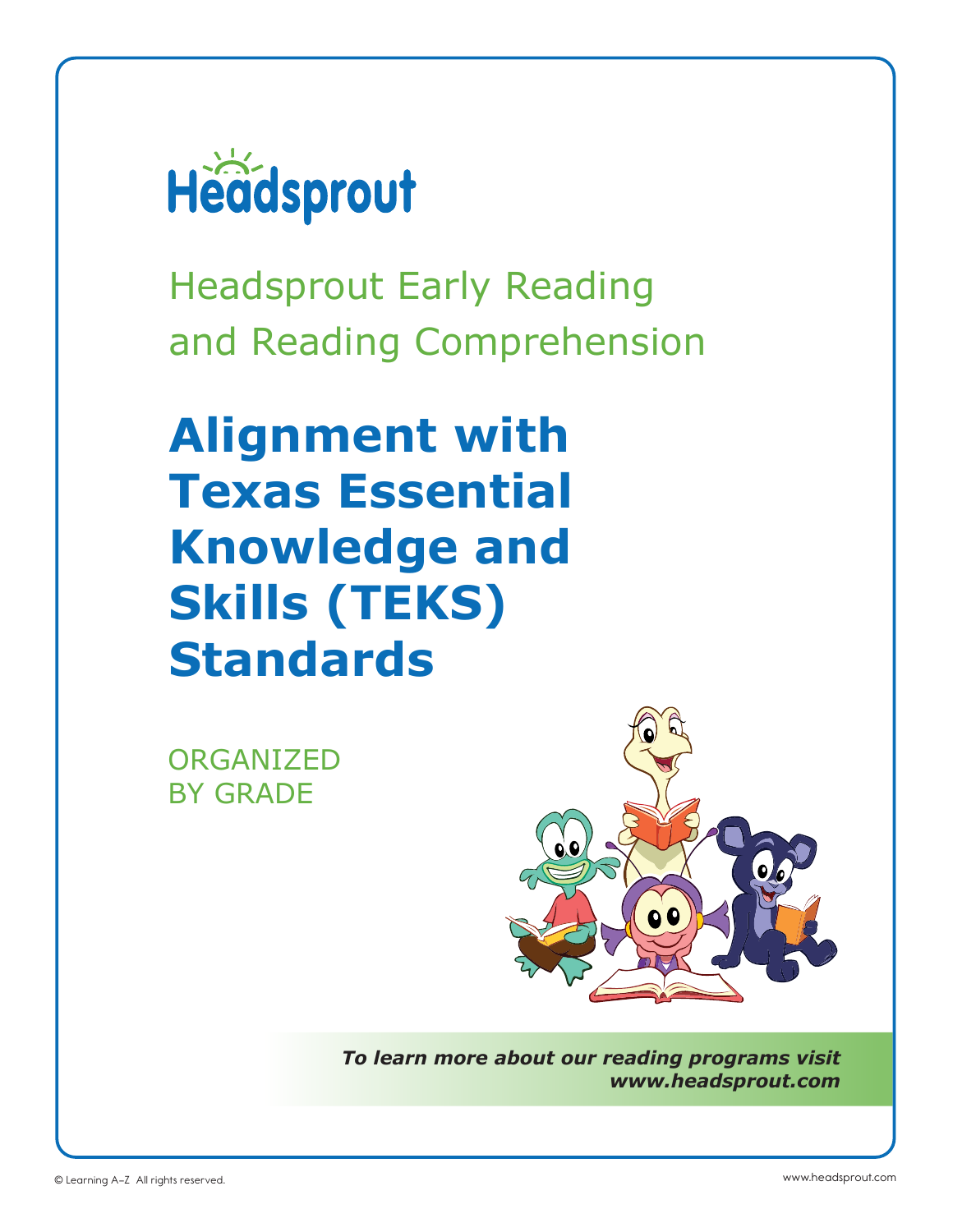

Headsprout Early Reading and Reading Comprehension

# **Alignment with Texas Essential Knowledge and Skills (TEKS) Standards**

ORGANIZED BY GRADE



*To learn more about our reading programs visit www.headsprout.com*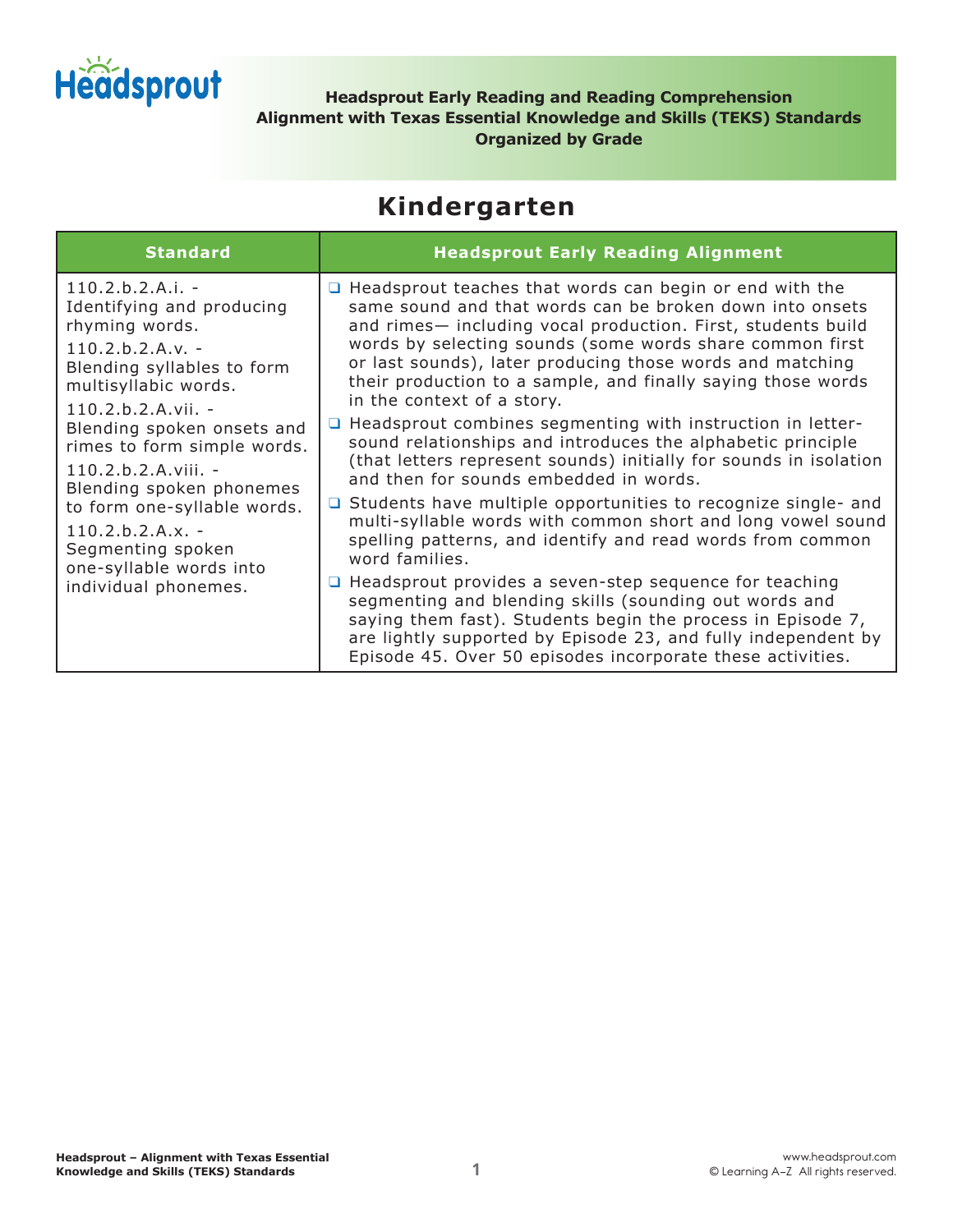

**Headsprout Early Reading and Reading Comprehension Alignment with Texas Essential Knowledge and Skills (TEKS) Standards Organized by Grade**

#### **Kindergarten**

| <b>Standard</b>                                                                                                                                                                                                                                                                                                                                                                            | <b>Headsprout Early Reading Alignment</b>                                                                                                                                                                                                                                                                                                                                                                                                                                                                                                                                                                                                                                                                                                                                                                                                                                                     |
|--------------------------------------------------------------------------------------------------------------------------------------------------------------------------------------------------------------------------------------------------------------------------------------------------------------------------------------------------------------------------------------------|-----------------------------------------------------------------------------------------------------------------------------------------------------------------------------------------------------------------------------------------------------------------------------------------------------------------------------------------------------------------------------------------------------------------------------------------------------------------------------------------------------------------------------------------------------------------------------------------------------------------------------------------------------------------------------------------------------------------------------------------------------------------------------------------------------------------------------------------------------------------------------------------------|
| $110.2.b.2.A.i. -$<br>Identifying and producing<br>rhyming words.<br>$110.2.b.2.A.v. -$<br>Blending syllables to form<br>multisyllabic words.<br>$110.2.b.2.A.vii. -$<br>Blending spoken onsets and<br>rimes to form simple words.<br>110.2.b.2.A.viii. -<br>Blending spoken phonemes<br>to form one-syllable words.<br>$110.2.b.2.A.x. -$<br>Segmenting spoken<br>one-syllable words into | $\Box$ Headsprout teaches that words can begin or end with the<br>same sound and that words can be broken down into onsets<br>and rimes- including vocal production. First, students build<br>words by selecting sounds (some words share common first<br>or last sounds), later producing those words and matching<br>their production to a sample, and finally saying those words<br>in the context of a story.<br><b>Q</b> Headsprout combines segmenting with instruction in letter-<br>sound relationships and introduces the alphabetic principle<br>(that letters represent sounds) initially for sounds in isolation<br>and then for sounds embedded in words.<br>$\Box$ Students have multiple opportunities to recognize single- and<br>multi-syllable words with common short and long vowel sound<br>spelling patterns, and identify and read words from common<br>word families. |
| individual phonemes.                                                                                                                                                                                                                                                                                                                                                                       | $\Box$ Headsprout provides a seven-step sequence for teaching<br>segmenting and blending skills (sounding out words and<br>saying them fast). Students begin the process in Episode 7,<br>are lightly supported by Episode 23, and fully independent by<br>Episode 45. Over 50 episodes incorporate these activities.                                                                                                                                                                                                                                                                                                                                                                                                                                                                                                                                                                         |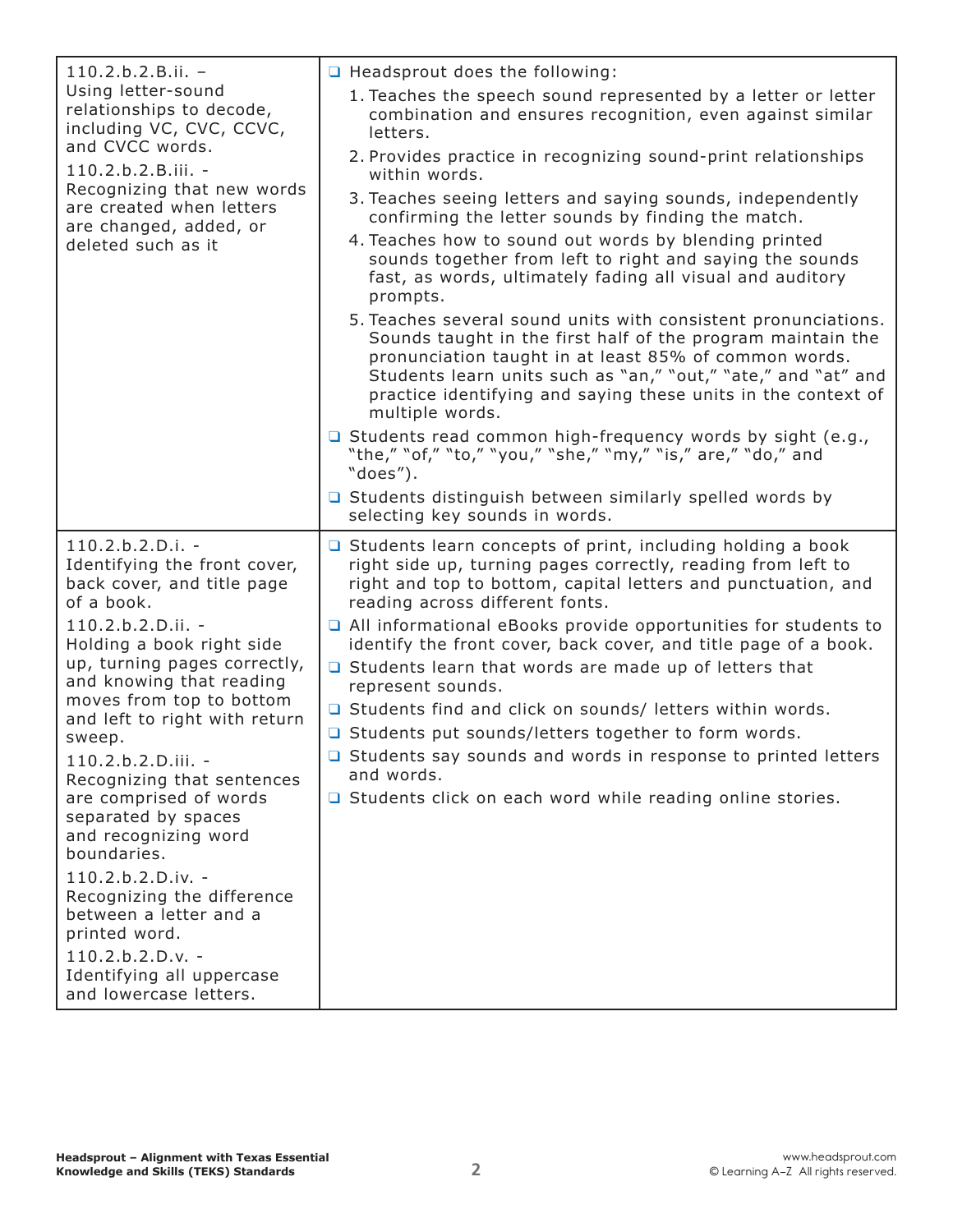| $110.2.b.2.B.ii. -$                                                                                                                                                                                                                                                                                                                                                                                                                                                                                                                                                                                        | $\Box$ Headsprout does the following:                                                                                                                                                                                                                                                                                                                                                                                                                                                                                                                                                                                                                                                                                                                                                                                                                                                                                                                                                                                                                                                                                                    |
|------------------------------------------------------------------------------------------------------------------------------------------------------------------------------------------------------------------------------------------------------------------------------------------------------------------------------------------------------------------------------------------------------------------------------------------------------------------------------------------------------------------------------------------------------------------------------------------------------------|------------------------------------------------------------------------------------------------------------------------------------------------------------------------------------------------------------------------------------------------------------------------------------------------------------------------------------------------------------------------------------------------------------------------------------------------------------------------------------------------------------------------------------------------------------------------------------------------------------------------------------------------------------------------------------------------------------------------------------------------------------------------------------------------------------------------------------------------------------------------------------------------------------------------------------------------------------------------------------------------------------------------------------------------------------------------------------------------------------------------------------------|
| Using letter-sound<br>relationships to decode,<br>including VC, CVC, CCVC,<br>and CVCC words.<br>110.2.b.2.B.iii. -<br>Recognizing that new words<br>are created when letters<br>are changed, added, or<br>deleted such as it                                                                                                                                                                                                                                                                                                                                                                              | 1. Teaches the speech sound represented by a letter or letter<br>combination and ensures recognition, even against similar<br>letters.<br>2. Provides practice in recognizing sound-print relationships<br>within words.<br>3. Teaches seeing letters and saying sounds, independently<br>confirming the letter sounds by finding the match.<br>4. Teaches how to sound out words by blending printed<br>sounds together from left to right and saying the sounds<br>fast, as words, ultimately fading all visual and auditory<br>prompts.<br>5. Teaches several sound units with consistent pronunciations.<br>Sounds taught in the first half of the program maintain the<br>pronunciation taught in at least 85% of common words.<br>Students learn units such as "an," "out," "ate," and "at" and<br>practice identifying and saying these units in the context of<br>multiple words.<br>$\Box$ Students read common high-frequency words by sight (e.g.,<br>"the," "of," "to," "you," "she," "my," "is," are," "do," and<br>"does").<br>□ Students distinguish between similarly spelled words by<br>selecting key sounds in words. |
| $110.2.b.2.D.i. -$<br>Identifying the front cover,<br>back cover, and title page<br>of a book.<br>110.2.b.2.D.ii. -<br>Holding a book right side<br>up, turning pages correctly,<br>and knowing that reading<br>moves from top to bottom<br>and left to right with return<br>sweep.<br>110.2.b.2.D.iii. -<br>Recognizing that sentences<br>are comprised of words<br>separated by spaces<br>and recognizing word<br>boundaries.<br>110.2.b.2.D.iv. -<br>Recognizing the difference<br>between a letter and a<br>printed word.<br>$110.2.b.2.D.v. -$<br>Identifying all uppercase<br>and lowercase letters. | $\Box$ Students learn concepts of print, including holding a book<br>right side up, turning pages correctly, reading from left to<br>right and top to bottom, capital letters and punctuation, and<br>reading across different fonts.<br>All informational eBooks provide opportunities for students to<br>identify the front cover, back cover, and title page of a book.<br>□ Students learn that words are made up of letters that<br>represent sounds.<br>□ Students find and click on sounds/ letters within words.<br>□ Students put sounds/letters together to form words.<br>□ Students say sounds and words in response to printed letters<br>and words.<br>□ Students click on each word while reading online stories.                                                                                                                                                                                                                                                                                                                                                                                                         |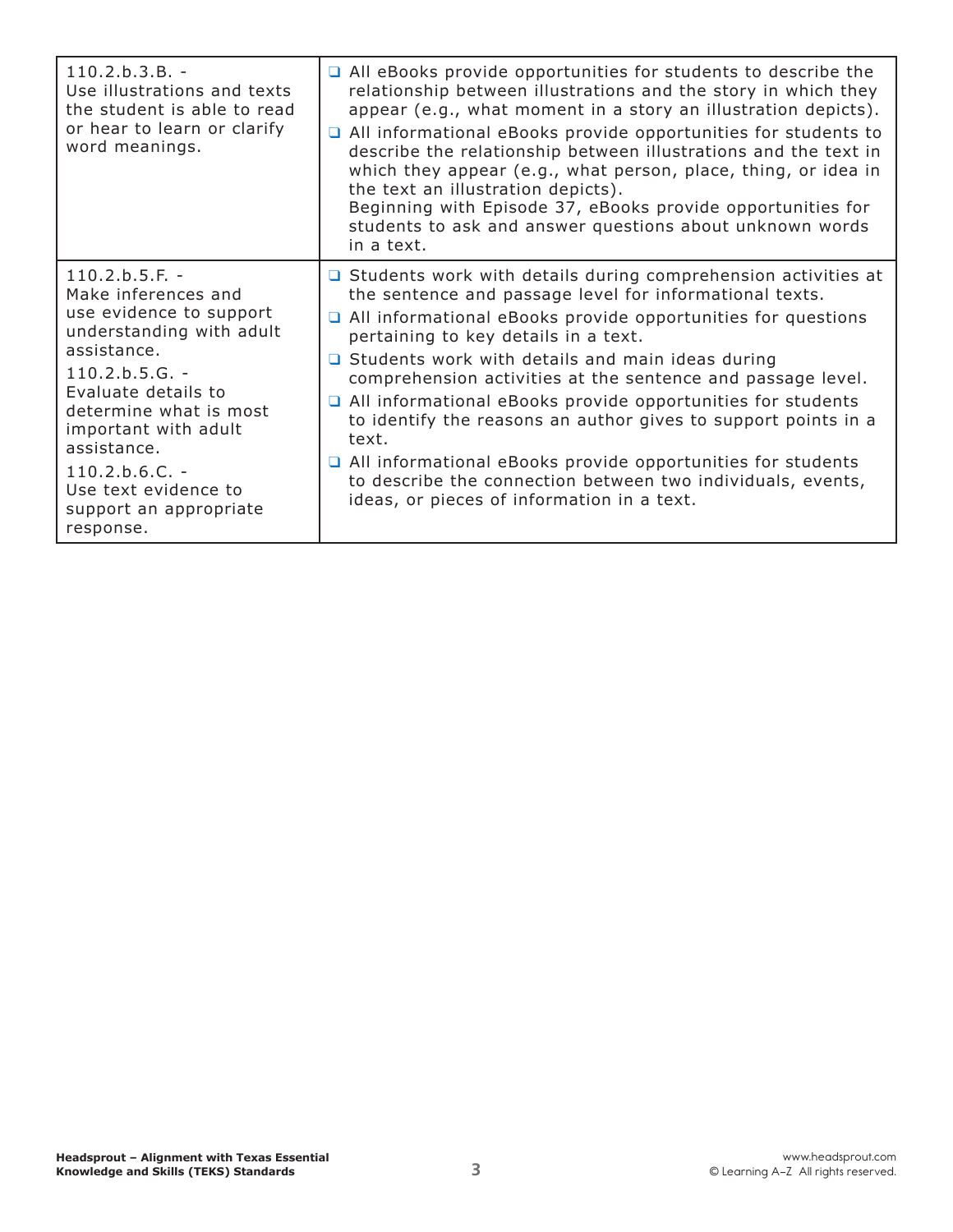| $110.2.b.3.B. -$<br>Use illustrations and texts<br>the student is able to read<br>or hear to learn or clarify<br>word meanings.                                                                                                                                                                              | All eBooks provide opportunities for students to describe the<br>relationship between illustrations and the story in which they<br>appear (e.g., what moment in a story an illustration depicts).<br>$\Box$ All informational eBooks provide opportunities for students to<br>describe the relationship between illustrations and the text in<br>which they appear (e.g., what person, place, thing, or idea in<br>the text an illustration depicts).<br>Beginning with Episode 37, eBooks provide opportunities for<br>students to ask and answer questions about unknown words<br>in a text.                                                                                                        |
|--------------------------------------------------------------------------------------------------------------------------------------------------------------------------------------------------------------------------------------------------------------------------------------------------------------|-------------------------------------------------------------------------------------------------------------------------------------------------------------------------------------------------------------------------------------------------------------------------------------------------------------------------------------------------------------------------------------------------------------------------------------------------------------------------------------------------------------------------------------------------------------------------------------------------------------------------------------------------------------------------------------------------------|
| $110.2.b.5.F. -$<br>Make inferences and<br>use evidence to support<br>understanding with adult<br>assistance.<br>$110.2.b.5.G. -$<br>Evaluate details to<br>determine what is most<br>important with adult<br>assistance.<br>$110.2.b.6.C. -$<br>Use text evidence to<br>support an appropriate<br>response. | $\Box$ Students work with details during comprehension activities at<br>the sentence and passage level for informational texts.<br>$\Box$ All informational eBooks provide opportunities for questions<br>pertaining to key details in a text.<br>$\Box$ Students work with details and main ideas during<br>comprehension activities at the sentence and passage level.<br>All informational eBooks provide opportunities for students<br>to identify the reasons an author gives to support points in a<br>text.<br>$\Box$ All informational eBooks provide opportunities for students<br>to describe the connection between two individuals, events,<br>ideas, or pieces of information in a text. |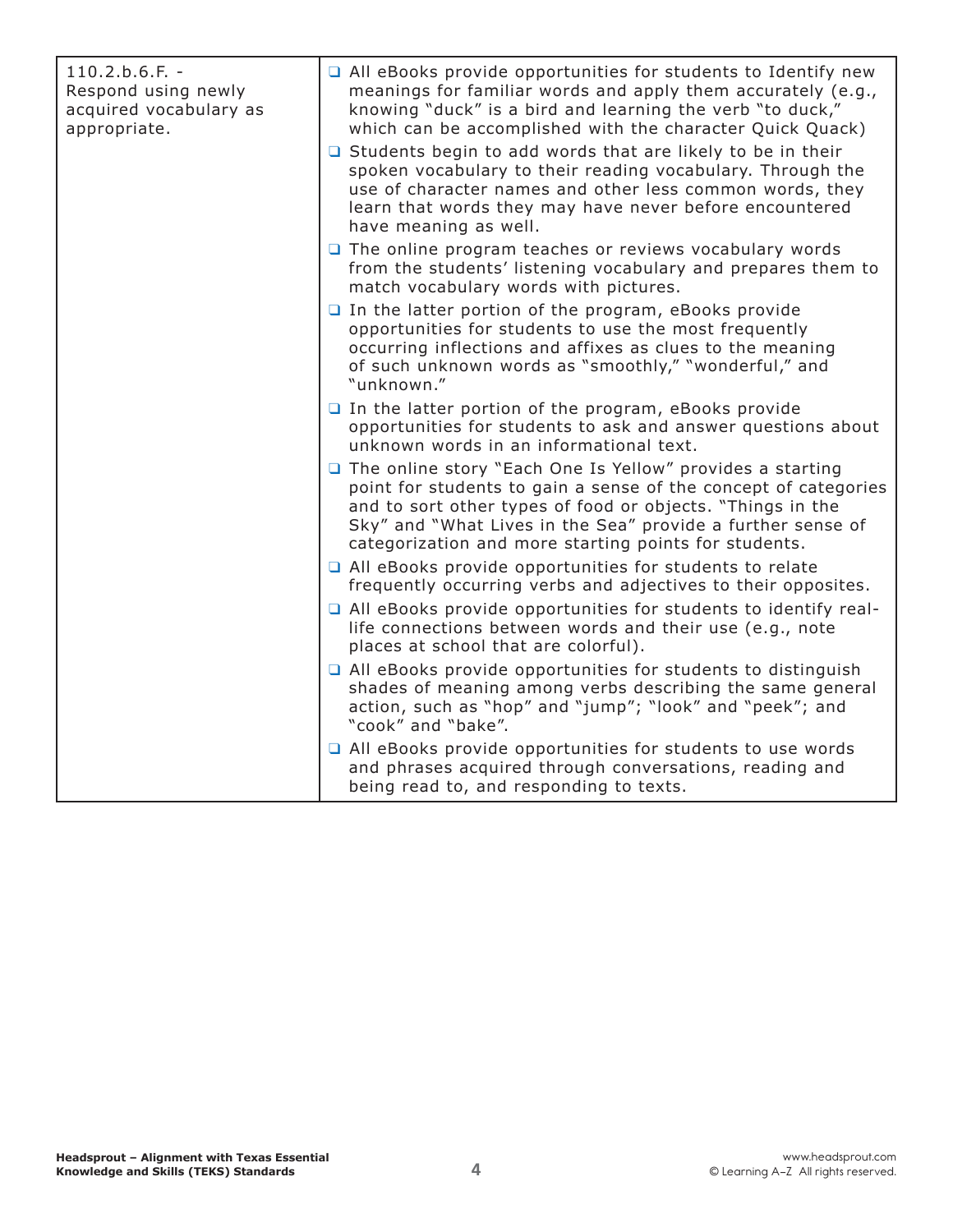| $110.2.b.6.F. -$<br>Respond using newly<br>acquired vocabulary as<br>appropriate. | All eBooks provide opportunities for students to Identify new<br>meanings for familiar words and apply them accurately (e.g.,<br>knowing "duck" is a bird and learning the verb "to duck,"<br>which can be accomplished with the character Quick Quack)                                                            |
|-----------------------------------------------------------------------------------|--------------------------------------------------------------------------------------------------------------------------------------------------------------------------------------------------------------------------------------------------------------------------------------------------------------------|
|                                                                                   | □ Students begin to add words that are likely to be in their<br>spoken vocabulary to their reading vocabulary. Through the<br>use of character names and other less common words, they<br>learn that words they may have never before encountered<br>have meaning as well.                                         |
|                                                                                   | $\Box$ The online program teaches or reviews vocabulary words<br>from the students' listening vocabulary and prepares them to<br>match vocabulary words with pictures.                                                                                                                                             |
|                                                                                   | $\Box$ In the latter portion of the program, eBooks provide<br>opportunities for students to use the most frequently<br>occurring inflections and affixes as clues to the meaning<br>of such unknown words as "smoothly," "wonderful," and<br>"unknown."                                                           |
|                                                                                   | $\Box$ In the latter portion of the program, eBooks provide<br>opportunities for students to ask and answer questions about<br>unknown words in an informational text.                                                                                                                                             |
|                                                                                   | The online story "Each One Is Yellow" provides a starting<br>point for students to gain a sense of the concept of categories<br>and to sort other types of food or objects. "Things in the<br>Sky" and "What Lives in the Sea" provide a further sense of<br>categorization and more starting points for students. |
|                                                                                   | All eBooks provide opportunities for students to relate<br>frequently occurring verbs and adjectives to their opposites.                                                                                                                                                                                           |
|                                                                                   | All eBooks provide opportunities for students to identify real-<br>life connections between words and their use (e.g., note<br>places at school that are colorful).                                                                                                                                                |
|                                                                                   | $\Box$ All eBooks provide opportunities for students to distinguish<br>shades of meaning among verbs describing the same general<br>action, such as "hop" and "jump"; "look" and "peek"; and<br>"cook" and "bake".                                                                                                 |
|                                                                                   | $\Box$ All eBooks provide opportunities for students to use words<br>and phrases acquired through conversations, reading and<br>being read to, and responding to texts.                                                                                                                                            |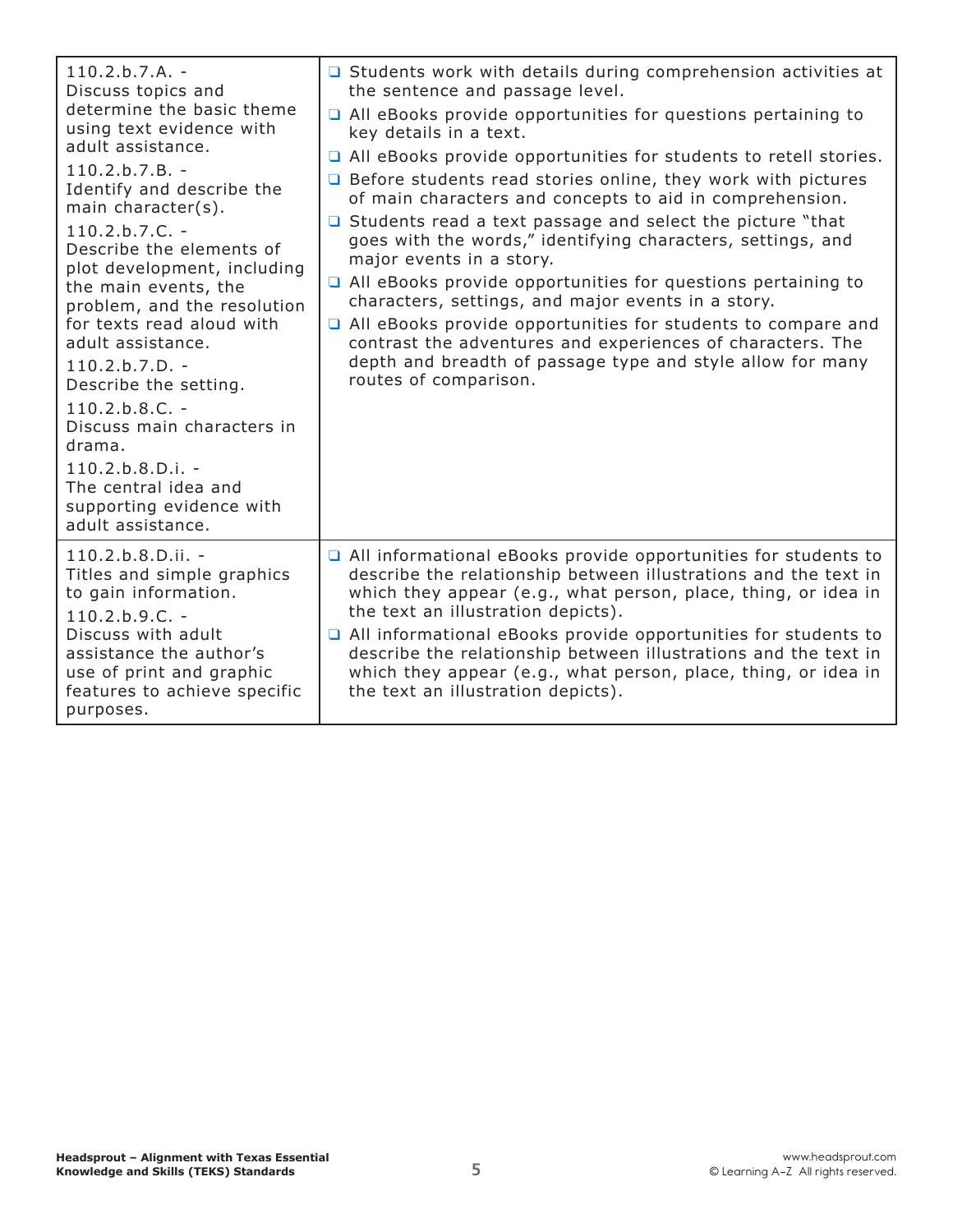| $110.2.b.7.A. -$<br>Discuss topics and<br>determine the basic theme<br>using text evidence with<br>adult assistance.<br>$110.2.b.7.B. -$<br>Identify and describe the<br>main character(s).<br>$110.2.b.7.C. -$<br>Describe the elements of<br>plot development, including<br>the main events, the<br>problem, and the resolution<br>for texts read aloud with<br>adult assistance.<br>$110.2.b.7.D. -$<br>Describe the setting.<br>$110.2.b.8.C. -$<br>Discuss main characters in<br>drama.<br>$110.2.b.8.D.i. -$<br>The central idea and<br>supporting evidence with<br>adult assistance. | <b>Q</b> Students work with details during comprehension activities at<br>the sentence and passage level.<br>$\Box$ All eBooks provide opportunities for questions pertaining to<br>key details in a text.<br>□ All eBooks provide opportunities for students to retell stories.<br>$\Box$ Before students read stories online, they work with pictures<br>of main characters and concepts to aid in comprehension.<br>□ Students read a text passage and select the picture "that<br>goes with the words," identifying characters, settings, and<br>major events in a story.<br>$\Box$ All eBooks provide opportunities for questions pertaining to<br>characters, settings, and major events in a story.<br>$\Box$ All eBooks provide opportunities for students to compare and<br>contrast the adventures and experiences of characters. The<br>depth and breadth of passage type and style allow for many<br>routes of comparison. |
|---------------------------------------------------------------------------------------------------------------------------------------------------------------------------------------------------------------------------------------------------------------------------------------------------------------------------------------------------------------------------------------------------------------------------------------------------------------------------------------------------------------------------------------------------------------------------------------------|----------------------------------------------------------------------------------------------------------------------------------------------------------------------------------------------------------------------------------------------------------------------------------------------------------------------------------------------------------------------------------------------------------------------------------------------------------------------------------------------------------------------------------------------------------------------------------------------------------------------------------------------------------------------------------------------------------------------------------------------------------------------------------------------------------------------------------------------------------------------------------------------------------------------------------------|
| $110.2.b.8.D.ii. -$<br>Titles and simple graphics<br>to gain information.<br>$110.2.b.9.C. -$<br>Discuss with adult<br>assistance the author's<br>use of print and graphic<br>features to achieve specific<br>purposes.                                                                                                                                                                                                                                                                                                                                                                     | $\Box$ All informational eBooks provide opportunities for students to<br>describe the relationship between illustrations and the text in<br>which they appear (e.g., what person, place, thing, or idea in<br>the text an illustration depicts).<br>All informational eBooks provide opportunities for students to<br>describe the relationship between illustrations and the text in<br>which they appear (e.g., what person, place, thing, or idea in<br>the text an illustration depicts).                                                                                                                                                                                                                                                                                                                                                                                                                                          |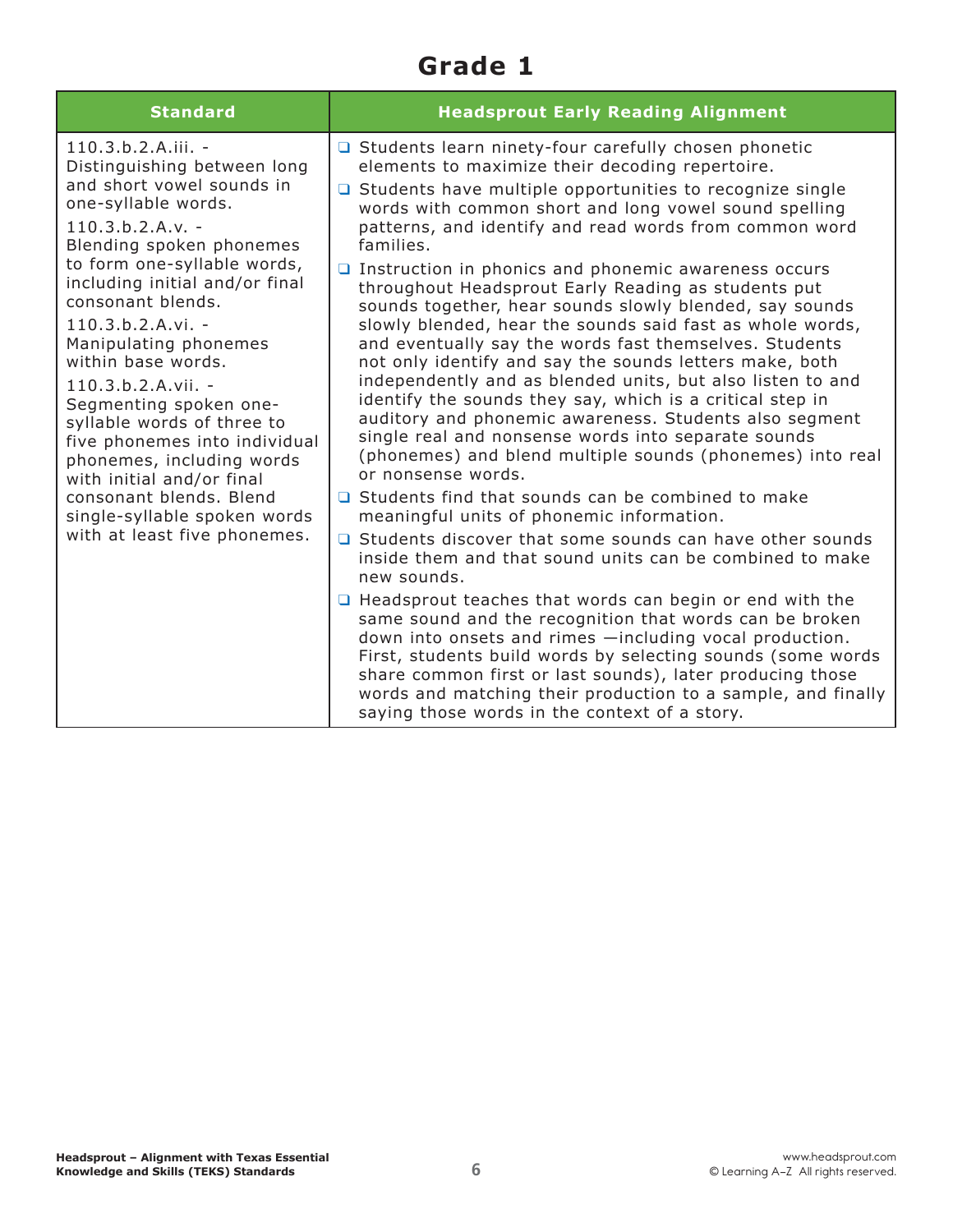#### **Grade 1**

| <b>Standard</b>                                                                                                                                                                                                                                                                                                                                                                                                                                                                                                                                                                             | <b>Headsprout Early Reading Alignment</b>                                                                                                                                                                                                                                                                                                                                                                                                                                                                                                                                                                                                                                                                                                                                                                                                                                                                                                                                                                                                                                                                                                                                                                                                                                                                                                                                                                                                                                                                                                                                                                                                                                                        |
|---------------------------------------------------------------------------------------------------------------------------------------------------------------------------------------------------------------------------------------------------------------------------------------------------------------------------------------------------------------------------------------------------------------------------------------------------------------------------------------------------------------------------------------------------------------------------------------------|--------------------------------------------------------------------------------------------------------------------------------------------------------------------------------------------------------------------------------------------------------------------------------------------------------------------------------------------------------------------------------------------------------------------------------------------------------------------------------------------------------------------------------------------------------------------------------------------------------------------------------------------------------------------------------------------------------------------------------------------------------------------------------------------------------------------------------------------------------------------------------------------------------------------------------------------------------------------------------------------------------------------------------------------------------------------------------------------------------------------------------------------------------------------------------------------------------------------------------------------------------------------------------------------------------------------------------------------------------------------------------------------------------------------------------------------------------------------------------------------------------------------------------------------------------------------------------------------------------------------------------------------------------------------------------------------------|
| $110.3.b.2.A.iii. -$<br>Distinguishing between long<br>and short vowel sounds in<br>one-syllable words.<br>$110.3.b.2.A.v. -$<br>Blending spoken phonemes<br>to form one-syllable words,<br>including initial and/or final<br>consonant blends.<br>$110.3.b.2.A.vi. -$<br>Manipulating phonemes<br>within base words.<br>$110.3.b.2.A.vii. -$<br>Segmenting spoken one-<br>syllable words of three to<br>five phonemes into individual<br>phonemes, including words<br>with initial and/or final<br>consonant blends. Blend<br>single-syllable spoken words<br>with at least five phonemes. | □ Students learn ninety-four carefully chosen phonetic<br>elements to maximize their decoding repertoire.<br>$\Box$ Students have multiple opportunities to recognize single<br>words with common short and long vowel sound spelling<br>patterns, and identify and read words from common word<br>families.<br>$\Box$ Instruction in phonics and phonemic awareness occurs<br>throughout Headsprout Early Reading as students put<br>sounds together, hear sounds slowly blended, say sounds<br>slowly blended, hear the sounds said fast as whole words,<br>and eventually say the words fast themselves. Students<br>not only identify and say the sounds letters make, both<br>independently and as blended units, but also listen to and<br>identify the sounds they say, which is a critical step in<br>auditory and phonemic awareness. Students also segment<br>single real and nonsense words into separate sounds<br>(phonemes) and blend multiple sounds (phonemes) into real<br>or nonsense words.<br>□ Students find that sounds can be combined to make<br>meaningful units of phonemic information.<br>□ Students discover that some sounds can have other sounds<br>inside them and that sound units can be combined to make<br>new sounds.<br>$\Box$ Headsprout teaches that words can begin or end with the<br>same sound and the recognition that words can be broken<br>down into onsets and rimes -including vocal production.<br>First, students build words by selecting sounds (some words<br>share common first or last sounds), later producing those<br>words and matching their production to a sample, and finally<br>saying those words in the context of a story. |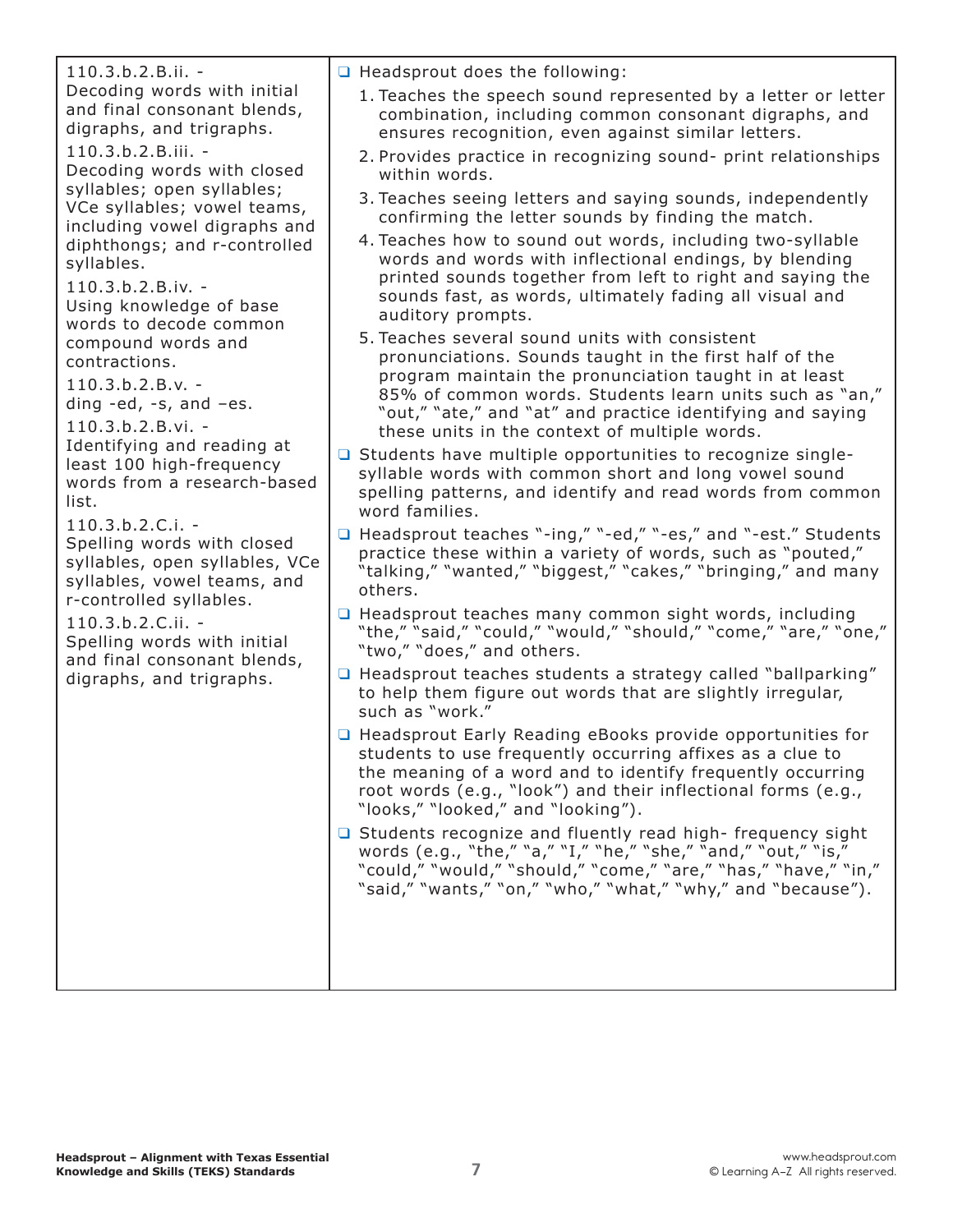| $110.3.b.2.B.ii. -$<br>Decoding words with initial<br>and final consonant blends,<br>digraphs, and trigraphs.<br>$110.3.b.2.B.iii. -$<br>Decoding words with closed<br>syllables; open syllables;<br>VCe syllables; vowel teams,<br>including vowel digraphs and<br>diphthongs; and r-controlled<br>syllables.<br>110.3.b.2.B.iv. -<br>Using knowledge of base<br>words to decode common<br>compound words and<br>contractions.<br>$110.3.b.2.B.v. -$<br>ding -ed, -s, and -es.<br>$110.3.b.2.B.vi. -$<br>Identifying and reading at<br>least 100 high-frequency<br>words from a research-based<br>list.<br>$110.3.b.2.C.i. -$<br>Spelling words with closed<br>syllables, open syllables, VCe<br>syllables, vowel teams, and<br>r-controlled syllables.<br>110.3.b.2.C.ii. -<br>Spelling words with initial<br>and final consonant blends,<br>digraphs, and trigraphs. | $\Box$ Headsprout does the following:<br>1. Teaches the speech sound represented by a letter or letter<br>combination, including common consonant digraphs, and<br>ensures recognition, even against similar letters.<br>2. Provides practice in recognizing sound- print relationships<br>within words.<br>3. Teaches seeing letters and saying sounds, independently<br>confirming the letter sounds by finding the match.<br>4. Teaches how to sound out words, including two-syllable<br>words and words with inflectional endings, by blending<br>printed sounds together from left to right and saying the<br>sounds fast, as words, ultimately fading all visual and<br>auditory prompts.<br>5. Teaches several sound units with consistent<br>pronunciations. Sounds taught in the first half of the<br>program maintain the pronunciation taught in at least<br>85% of common words. Students learn units such as "an,"<br>"out," "ate," and "at" and practice identifying and saying<br>these units in the context of multiple words.<br>□ Students have multiple opportunities to recognize single-<br>syllable words with common short and long vowel sound<br>spelling patterns, and identify and read words from common<br>word families.<br>□ Headsprout teaches "-ing," "-ed," "-es," and "-est." Students<br>practice these within a variety of words, such as "pouted,"<br>"talking," "wanted," "biggest," "cakes," "bringing," and many<br>others.<br>□ Headsprout teaches many common sight words, including<br>"the," "said," "could," "would," "should," "come," "are," "one,"<br>"two," "does," and others.<br>□ Headsprout teaches students a strategy called "ballparking"<br>to help them figure out words that are slightly irregular,<br>such as "work."<br>□ Headsprout Early Reading eBooks provide opportunities for<br>students to use frequently occurring affixes as a clue to<br>the meaning of a word and to identify frequently occurring<br>root words (e.g., "look") and their inflectional forms (e.g.,<br>"looks," "looked," and "looking").<br>□ Students recognize and fluently read high- frequency sight<br>words (e.g., "the," "a," "I," "he," "she," "and," "out," "is,"<br>"could," "would," "should," "come," "are," "has," "have," "in,"<br>"said," "wants," "on," "who," "what," "why," and "because"). |
|-------------------------------------------------------------------------------------------------------------------------------------------------------------------------------------------------------------------------------------------------------------------------------------------------------------------------------------------------------------------------------------------------------------------------------------------------------------------------------------------------------------------------------------------------------------------------------------------------------------------------------------------------------------------------------------------------------------------------------------------------------------------------------------------------------------------------------------------------------------------------|------------------------------------------------------------------------------------------------------------------------------------------------------------------------------------------------------------------------------------------------------------------------------------------------------------------------------------------------------------------------------------------------------------------------------------------------------------------------------------------------------------------------------------------------------------------------------------------------------------------------------------------------------------------------------------------------------------------------------------------------------------------------------------------------------------------------------------------------------------------------------------------------------------------------------------------------------------------------------------------------------------------------------------------------------------------------------------------------------------------------------------------------------------------------------------------------------------------------------------------------------------------------------------------------------------------------------------------------------------------------------------------------------------------------------------------------------------------------------------------------------------------------------------------------------------------------------------------------------------------------------------------------------------------------------------------------------------------------------------------------------------------------------------------------------------------------------------------------------------------------------------------------------------------------------------------------------------------------------------------------------------------------------------------------------------------------------------------------------------------------------------------------------------------------------------------------------------------------------------------------------------------------------------------------------------------------------------------------------------|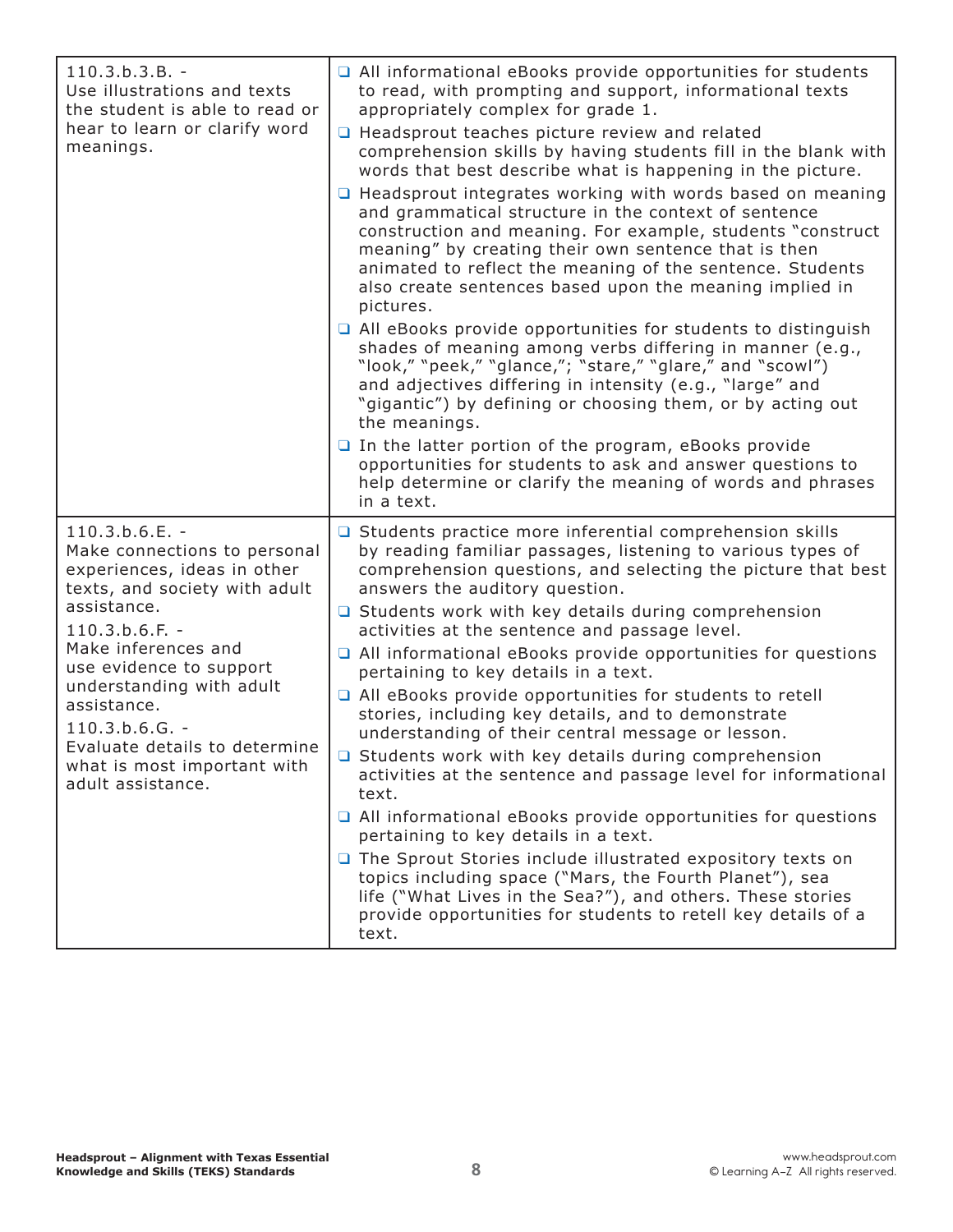| $110.3.b.3.B. -$<br>Use illustrations and texts<br>the student is able to read or<br>hear to learn or clarify word<br>meanings.                                                                                                                                                                                                                           | All informational eBooks provide opportunities for students<br>to read, with prompting and support, informational texts<br>appropriately complex for grade 1.<br>□ Headsprout teaches picture review and related<br>comprehension skills by having students fill in the blank with<br>words that best describe what is happening in the picture.<br>$\Box$ Headsprout integrates working with words based on meaning<br>and grammatical structure in the context of sentence<br>construction and meaning. For example, students "construct<br>meaning" by creating their own sentence that is then<br>animated to reflect the meaning of the sentence. Students<br>also create sentences based upon the meaning implied in<br>pictures.<br>All eBooks provide opportunities for students to distinguish<br>shades of meaning among verbs differing in manner (e.g.,<br>"look," "peek," "glance,"; "stare," "glare," and "scowl")<br>and adjectives differing in intensity (e.g., "large" and<br>"gigantic") by defining or choosing them, or by acting out<br>the meanings.<br>$\Box$ In the latter portion of the program, eBooks provide<br>opportunities for students to ask and answer questions to<br>help determine or clarify the meaning of words and phrases<br>in a text. |
|-----------------------------------------------------------------------------------------------------------------------------------------------------------------------------------------------------------------------------------------------------------------------------------------------------------------------------------------------------------|-------------------------------------------------------------------------------------------------------------------------------------------------------------------------------------------------------------------------------------------------------------------------------------------------------------------------------------------------------------------------------------------------------------------------------------------------------------------------------------------------------------------------------------------------------------------------------------------------------------------------------------------------------------------------------------------------------------------------------------------------------------------------------------------------------------------------------------------------------------------------------------------------------------------------------------------------------------------------------------------------------------------------------------------------------------------------------------------------------------------------------------------------------------------------------------------------------------------------------------------------------------------------------------|
| $110.3.b.6.E. -$<br>Make connections to personal<br>experiences, ideas in other<br>texts, and society with adult<br>assistance.<br>$110.3.b.6.F. -$<br>Make inferences and<br>use evidence to support<br>understanding with adult<br>assistance.<br>$110.3.b.6.G. -$<br>Evaluate details to determine<br>what is most important with<br>adult assistance. | □ Students practice more inferential comprehension skills<br>by reading familiar passages, listening to various types of<br>comprehension questions, and selecting the picture that best<br>answers the auditory question.<br>$\Box$ Students work with key details during comprehension<br>activities at the sentence and passage level.<br>All informational eBooks provide opportunities for questions<br>pertaining to key details in a text.<br>□ All eBooks provide opportunities for students to retell<br>stories, including key details, and to demonstrate<br>understanding of their central message or lesson.<br>□ Students work with key details during comprehension<br>activities at the sentence and passage level for informational<br>text.<br>$\Box$ All informational eBooks provide opportunities for questions<br>pertaining to key details in a text.<br>The Sprout Stories include illustrated expository texts on<br>topics including space ("Mars, the Fourth Planet"), sea<br>life ("What Lives in the Sea?"), and others. These stories<br>provide opportunities for students to retell key details of a<br>text.                                                                                                                                       |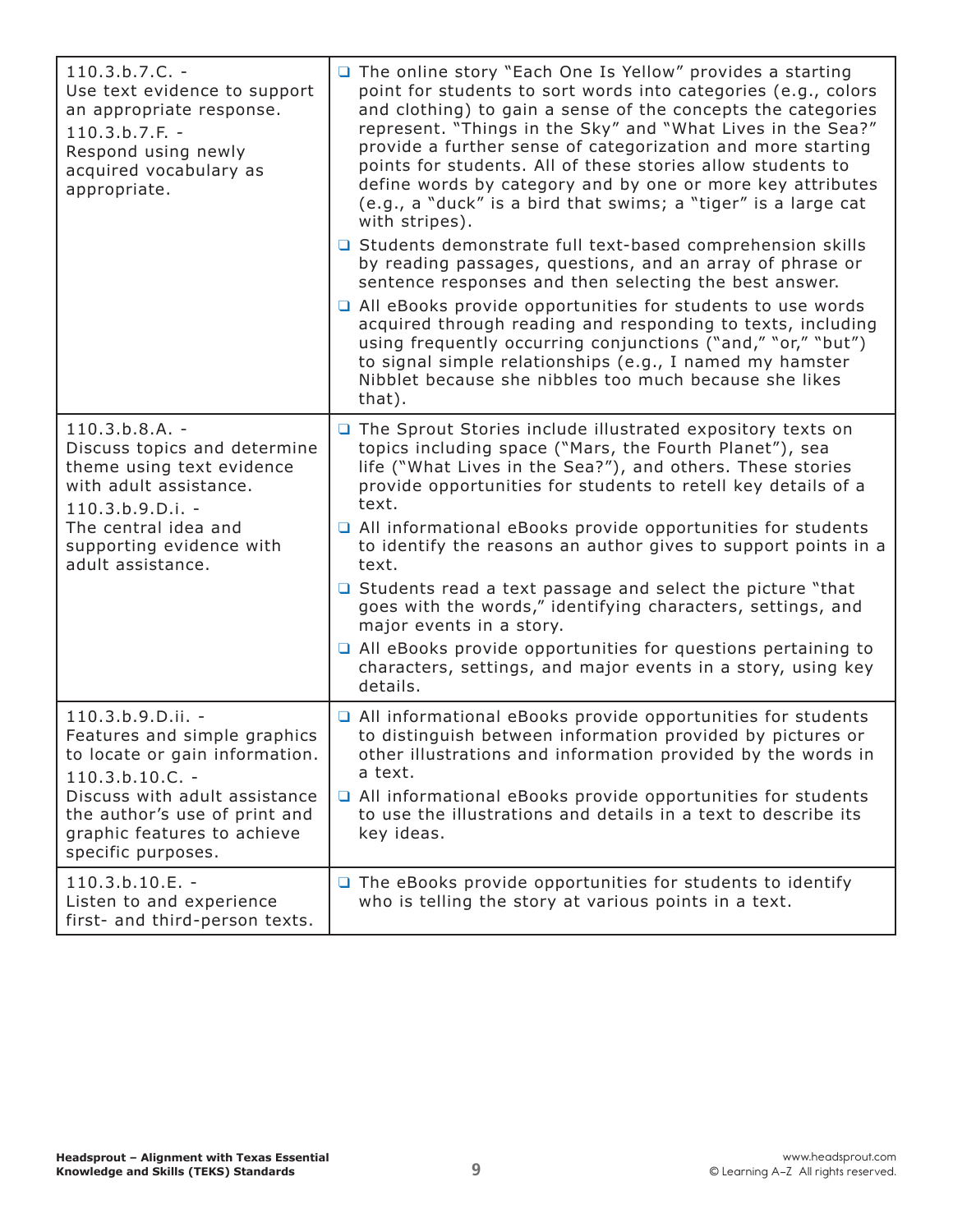| $110.3.b.7.C. -$<br>Use text evidence to support<br>an appropriate response.<br>$110.3.b.7.F. -$<br>Respond using newly<br>acquired vocabulary as<br>appropriate.                                                               | The online story "Each One Is Yellow" provides a starting<br>point for students to sort words into categories (e.g., colors<br>and clothing) to gain a sense of the concepts the categories<br>represent. "Things in the Sky" and "What Lives in the Sea?"<br>provide a further sense of categorization and more starting<br>points for students. All of these stories allow students to<br>define words by category and by one or more key attributes<br>(e.g., a "duck" is a bird that swims; a "tiger" is a large cat<br>with stripes).<br>□ Students demonstrate full text-based comprehension skills<br>by reading passages, questions, and an array of phrase or<br>sentence responses and then selecting the best answer.<br>All eBooks provide opportunities for students to use words<br>acquired through reading and responding to texts, including<br>using frequently occurring conjunctions ("and," "or," "but")<br>to signal simple relationships (e.g., I named my hamster<br>Nibblet because she nibbles too much because she likes<br>that). |
|---------------------------------------------------------------------------------------------------------------------------------------------------------------------------------------------------------------------------------|---------------------------------------------------------------------------------------------------------------------------------------------------------------------------------------------------------------------------------------------------------------------------------------------------------------------------------------------------------------------------------------------------------------------------------------------------------------------------------------------------------------------------------------------------------------------------------------------------------------------------------------------------------------------------------------------------------------------------------------------------------------------------------------------------------------------------------------------------------------------------------------------------------------------------------------------------------------------------------------------------------------------------------------------------------------|
| $110.3.b.8.A. -$<br>Discuss topics and determine<br>theme using text evidence<br>with adult assistance.<br>$110.3.b.9.D.i. -$<br>The central idea and<br>supporting evidence with<br>adult assistance.                          | The Sprout Stories include illustrated expository texts on<br>topics including space ("Mars, the Fourth Planet"), sea<br>life ("What Lives in the Sea?"), and others. These stories<br>provide opportunities for students to retell key details of a<br>text.<br>All informational eBooks provide opportunities for students<br>to identify the reasons an author gives to support points in a<br>text.<br>$\Box$ Students read a text passage and select the picture "that<br>goes with the words," identifying characters, settings, and<br>major events in a story.<br>$\Box$ All eBooks provide opportunities for questions pertaining to<br>characters, settings, and major events in a story, using key<br>details.                                                                                                                                                                                                                                                                                                                                     |
| 110.3.b.9.D.ii. -<br>Features and simple graphics<br>to locate or gain information.<br>$110.3.b.10.C. -$<br>Discuss with adult assistance<br>the author's use of print and<br>graphic features to achieve<br>specific purposes. | All informational eBooks provide opportunities for students<br>to distinguish between information provided by pictures or<br>other illustrations and information provided by the words in<br>a text.<br>□ All informational eBooks provide opportunities for students<br>to use the illustrations and details in a text to describe its<br>key ideas.                                                                                                                                                                                                                                                                                                                                                                                                                                                                                                                                                                                                                                                                                                         |
| 110.3.b.10.E. -<br>Listen to and experience<br>first- and third-person texts.                                                                                                                                                   | $\Box$ The eBooks provide opportunities for students to identify<br>who is telling the story at various points in a text.                                                                                                                                                                                                                                                                                                                                                                                                                                                                                                                                                                                                                                                                                                                                                                                                                                                                                                                                     |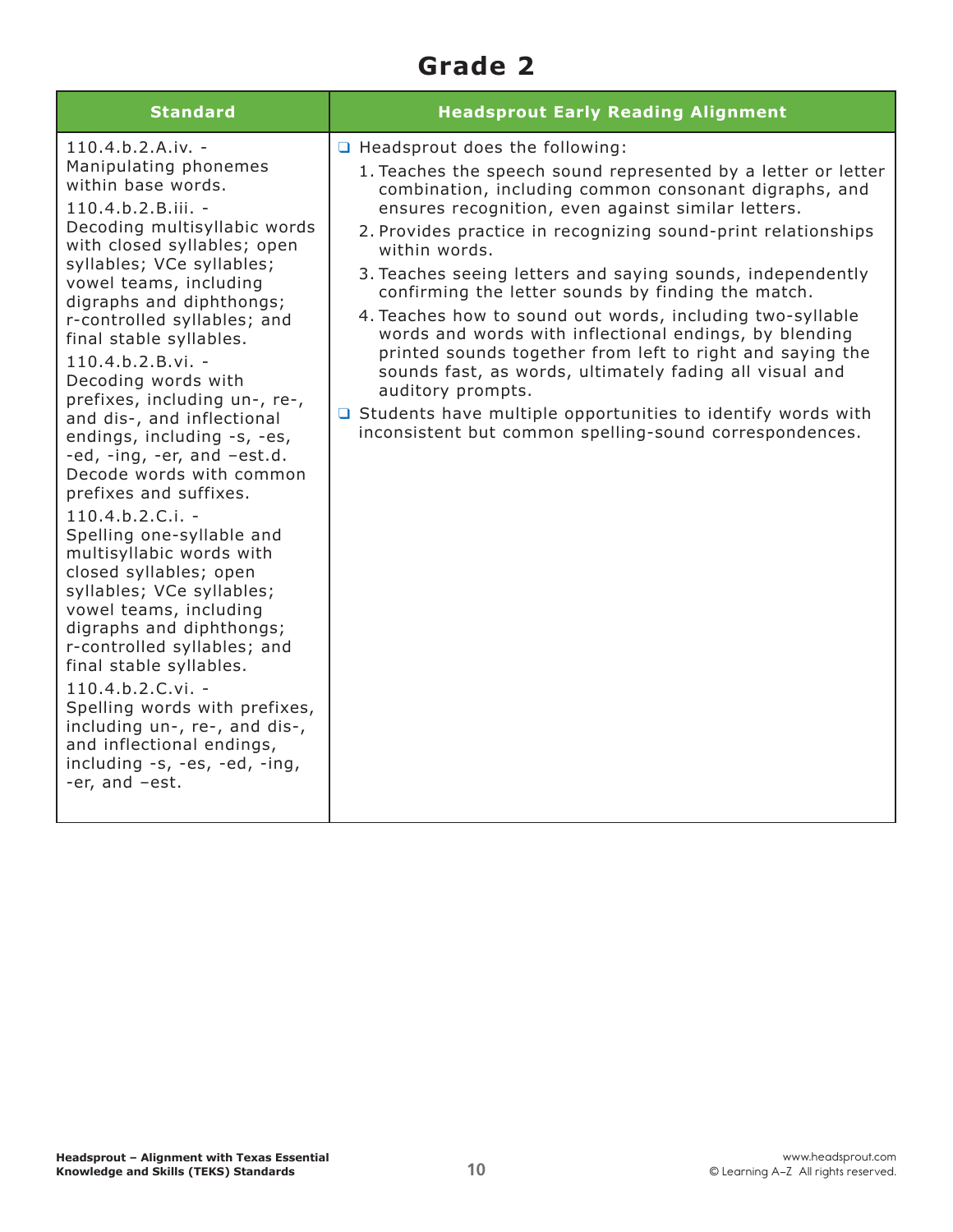### **Grade 2**

| <b>Standard</b>                                                                                                                                                                                                                                                                                                                                                                                                                                                                                                                                                                                                                                                                                                                                                                                                                                                                                                                                                    | <b>Headsprout Early Reading Alignment</b>                                                                                                                                                                                                                                                                                                                                                                                                                                                                                                                                                                                                                                                                                                                                                                                        |
|--------------------------------------------------------------------------------------------------------------------------------------------------------------------------------------------------------------------------------------------------------------------------------------------------------------------------------------------------------------------------------------------------------------------------------------------------------------------------------------------------------------------------------------------------------------------------------------------------------------------------------------------------------------------------------------------------------------------------------------------------------------------------------------------------------------------------------------------------------------------------------------------------------------------------------------------------------------------|----------------------------------------------------------------------------------------------------------------------------------------------------------------------------------------------------------------------------------------------------------------------------------------------------------------------------------------------------------------------------------------------------------------------------------------------------------------------------------------------------------------------------------------------------------------------------------------------------------------------------------------------------------------------------------------------------------------------------------------------------------------------------------------------------------------------------------|
| $110.4.b.2.A.iv. -$<br>Manipulating phonemes<br>within base words.<br>110.4.b.2.B.iii. -<br>Decoding multisyllabic words<br>with closed syllables; open<br>syllables; VCe syllables;<br>vowel teams, including<br>digraphs and diphthongs;<br>r-controlled syllables; and<br>final stable syllables.<br>$110.4.b.2.B.vi. -$<br>Decoding words with<br>prefixes, including un-, re-,<br>and dis-, and inflectional<br>endings, including -s, -es,<br>-ed, -ing, -er, and -est.d.<br>Decode words with common<br>prefixes and suffixes.<br>$110.4.b.2.C.i. -$<br>Spelling one-syllable and<br>multisyllabic words with<br>closed syllables; open<br>syllables; VCe syllables;<br>vowel teams, including<br>digraphs and diphthongs;<br>r-controlled syllables; and<br>final stable syllables.<br>110.4.b.2.C.vi. -<br>Spelling words with prefixes,<br>including un-, re-, and dis-,<br>and inflectional endings,<br>including -s, -es, -ed, -ing,<br>-er, and -est. | $\Box$ Headsprout does the following:<br>1. Teaches the speech sound represented by a letter or letter<br>combination, including common consonant digraphs, and<br>ensures recognition, even against similar letters.<br>2. Provides practice in recognizing sound-print relationships<br>within words.<br>3. Teaches seeing letters and saying sounds, independently<br>confirming the letter sounds by finding the match.<br>4. Teaches how to sound out words, including two-syllable<br>words and words with inflectional endings, by blending<br>printed sounds together from left to right and saying the<br>sounds fast, as words, ultimately fading all visual and<br>auditory prompts.<br>$\Box$ Students have multiple opportunities to identify words with<br>inconsistent but common spelling-sound correspondences. |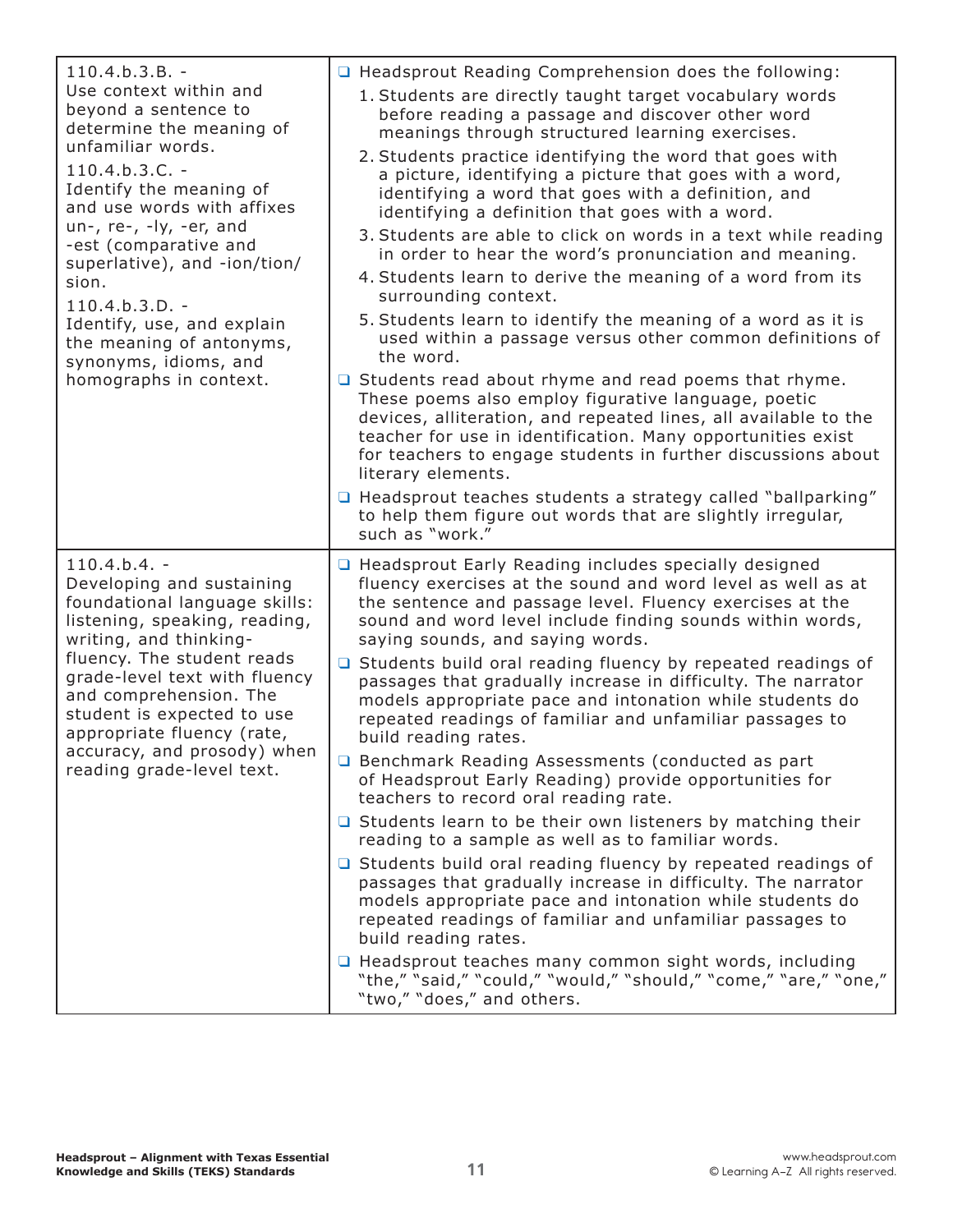| $110.4.b.3.B. -$<br>Use context within and<br>beyond a sentence to<br>determine the meaning of<br>unfamiliar words.<br>$110.4.b.3.C. -$<br>Identify the meaning of<br>and use words with affixes<br>un-, re-, -ly, -er, and<br>-est (comparative and<br>superlative), and -ion/tion/<br>sion.<br>$110.4.b.3.D. -$<br>Identify, use, and explain<br>the meaning of antonyms,<br>synonyms, idioms, and<br>homographs in context. | □ Headsprout Reading Comprehension does the following:<br>1. Students are directly taught target vocabulary words<br>before reading a passage and discover other word<br>meanings through structured learning exercises.<br>2. Students practice identifying the word that goes with<br>a picture, identifying a picture that goes with a word,<br>identifying a word that goes with a definition, and<br>identifying a definition that goes with a word.<br>3. Students are able to click on words in a text while reading<br>in order to hear the word's pronunciation and meaning.<br>4. Students learn to derive the meaning of a word from its<br>surrounding context.<br>5. Students learn to identify the meaning of a word as it is<br>used within a passage versus other common definitions of<br>the word.<br>$\Box$ Students read about rhyme and read poems that rhyme.<br>These poems also employ figurative language, poetic<br>devices, alliteration, and repeated lines, all available to the<br>teacher for use in identification. Many opportunities exist<br>for teachers to engage students in further discussions about<br>literary elements.<br>□ Headsprout teaches students a strategy called "ballparking"<br>to help them figure out words that are slightly irregular,<br>such as "work." |
|--------------------------------------------------------------------------------------------------------------------------------------------------------------------------------------------------------------------------------------------------------------------------------------------------------------------------------------------------------------------------------------------------------------------------------|----------------------------------------------------------------------------------------------------------------------------------------------------------------------------------------------------------------------------------------------------------------------------------------------------------------------------------------------------------------------------------------------------------------------------------------------------------------------------------------------------------------------------------------------------------------------------------------------------------------------------------------------------------------------------------------------------------------------------------------------------------------------------------------------------------------------------------------------------------------------------------------------------------------------------------------------------------------------------------------------------------------------------------------------------------------------------------------------------------------------------------------------------------------------------------------------------------------------------------------------------------------------------------------------------------------------|
| $110.4.b.4. -$<br>Developing and sustaining<br>foundational language skills:<br>listening, speaking, reading,<br>writing, and thinking-<br>fluency. The student reads<br>grade-level text with fluency<br>and comprehension. The<br>student is expected to use<br>appropriate fluency (rate,<br>accuracy, and prosody) when<br>reading grade-level text.                                                                       | □ Headsprout Early Reading includes specially designed<br>fluency exercises at the sound and word level as well as at<br>the sentence and passage level. Fluency exercises at the<br>sound and word level include finding sounds within words,<br>saying sounds, and saying words.<br>□ Students build oral reading fluency by repeated readings of<br>passages that gradually increase in difficulty. The narrator<br>models appropriate pace and intonation while students do<br>repeated readings of familiar and unfamiliar passages to<br>build reading rates.<br>□ Benchmark Reading Assessments (conducted as part<br>of Headsprout Early Reading) provide opportunities for<br>teachers to record oral reading rate.<br>$\Box$ Students learn to be their own listeners by matching their<br>reading to a sample as well as to familiar words.<br>□ Students build oral reading fluency by repeated readings of<br>passages that gradually increase in difficulty. The narrator<br>models appropriate pace and intonation while students do<br>repeated readings of familiar and unfamiliar passages to<br>build reading rates.<br>□ Headsprout teaches many common sight words, including<br>"the," "said," "could," "would," "should," "come," "are," "one,"<br>"two," "does," and others.                 |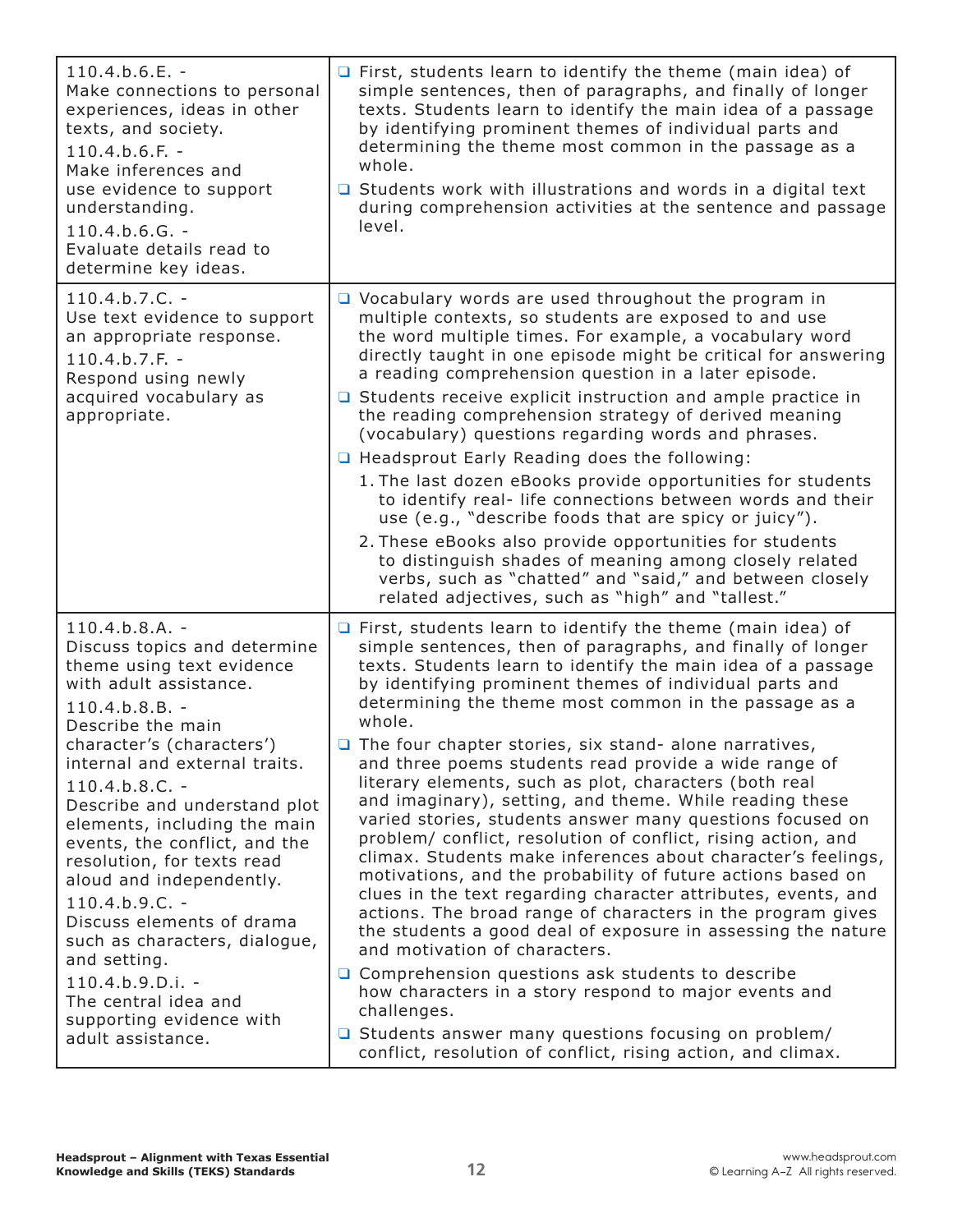| $110.4.b.6.E. -$<br>Make connections to personal<br>experiences, ideas in other<br>texts, and society.<br>$110.4.b.6.F. -$<br>Make inferences and<br>use evidence to support<br>understanding.<br>$110.4.b.6.G. -$<br>Evaluate details read to<br>determine key ideas.                                                                                                                                                                                                                                                                                                                       | $\Box$ First, students learn to identify the theme (main idea) of<br>simple sentences, then of paragraphs, and finally of longer<br>texts. Students learn to identify the main idea of a passage<br>by identifying prominent themes of individual parts and<br>determining the theme most common in the passage as a<br>whole.<br>$\Box$ Students work with illustrations and words in a digital text<br>during comprehension activities at the sentence and passage<br>level.                                                                                                                                                                                                                                                                                                                                                                                                                                                                                                                                                                                                                                                                                                                                                                                                                                                          |
|----------------------------------------------------------------------------------------------------------------------------------------------------------------------------------------------------------------------------------------------------------------------------------------------------------------------------------------------------------------------------------------------------------------------------------------------------------------------------------------------------------------------------------------------------------------------------------------------|-----------------------------------------------------------------------------------------------------------------------------------------------------------------------------------------------------------------------------------------------------------------------------------------------------------------------------------------------------------------------------------------------------------------------------------------------------------------------------------------------------------------------------------------------------------------------------------------------------------------------------------------------------------------------------------------------------------------------------------------------------------------------------------------------------------------------------------------------------------------------------------------------------------------------------------------------------------------------------------------------------------------------------------------------------------------------------------------------------------------------------------------------------------------------------------------------------------------------------------------------------------------------------------------------------------------------------------------|
| $110.4.b.7.C. -$<br>Use text evidence to support<br>an appropriate response.<br>$110.4.b.7.F. -$<br>Respond using newly<br>acquired vocabulary as<br>appropriate.                                                                                                                                                                                                                                                                                                                                                                                                                            | $\Box$ Vocabulary words are used throughout the program in<br>multiple contexts, so students are exposed to and use<br>the word multiple times. For example, a vocabulary word<br>directly taught in one episode might be critical for answering<br>a reading comprehension question in a later episode.<br>$\Box$ Students receive explicit instruction and ample practice in<br>the reading comprehension strategy of derived meaning<br>(vocabulary) questions regarding words and phrases.<br>□ Headsprout Early Reading does the following:<br>1. The last dozen eBooks provide opportunities for students<br>to identify real- life connections between words and their<br>use (e.g., "describe foods that are spicy or juicy").<br>2. These eBooks also provide opportunities for students<br>to distinguish shades of meaning among closely related<br>verbs, such as "chatted" and "said," and between closely<br>related adjectives, such as "high" and "tallest."                                                                                                                                                                                                                                                                                                                                                            |
| $110.4.b.8.A. -$<br>Discuss topics and determine<br>theme using text evidence<br>with adult assistance.<br>$110.4.b.8.B. -$<br>Describe the main<br>character's (characters')<br>internal and external traits.<br>$110.4.b.8.C. -$<br>Describe and understand plot<br>elements, including the main<br>events, the conflict, and the<br>resolution, for texts read<br>aloud and independently.<br>$110.4.b.9.C. -$<br>Discuss elements of drama<br>such as characters, dialogue,<br>and setting.<br>110.4.b.9.D.i. -<br>The central idea and<br>supporting evidence with<br>adult assistance. | $\Box$ First, students learn to identify the theme (main idea) of<br>simple sentences, then of paragraphs, and finally of longer<br>texts. Students learn to identify the main idea of a passage<br>by identifying prominent themes of individual parts and<br>determining the theme most common in the passage as a<br>whole.<br>$\Box$ The four chapter stories, six stand- alone narratives,<br>and three poems students read provide a wide range of<br>literary elements, such as plot, characters (both real<br>and imaginary), setting, and theme. While reading these<br>varied stories, students answer many questions focused on<br>problem/ conflict, resolution of conflict, rising action, and<br>climax. Students make inferences about character's feelings,<br>motivations, and the probability of future actions based on<br>clues in the text regarding character attributes, events, and<br>actions. The broad range of characters in the program gives<br>the students a good deal of exposure in assessing the nature<br>and motivation of characters.<br>$\Box$ Comprehension questions ask students to describe<br>how characters in a story respond to major events and<br>challenges.<br>□ Students answer many questions focusing on problem/<br>conflict, resolution of conflict, rising action, and climax. |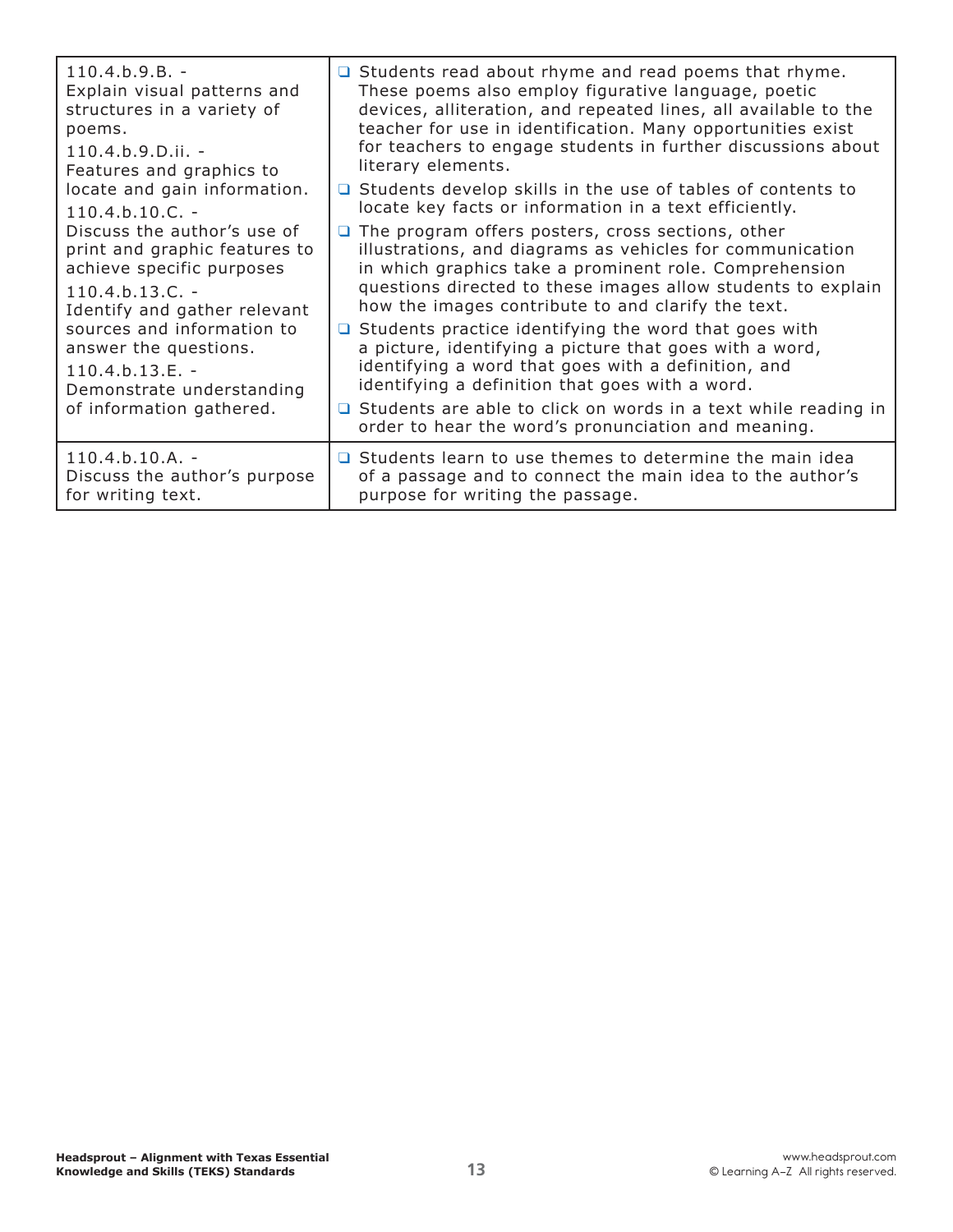| $110.4 b.9 B. -$<br>Explain visual patterns and<br>structures in a variety of<br>poems.<br>$110.4.b.9.D.ii. -$<br>Features and graphics to<br>locate and gain information.<br>$110.4.b.10.C. -$<br>Discuss the author's use of<br>print and graphic features to<br>achieve specific purposes<br>$110.4.b.13.C. -$<br>Identify and gather relevant<br>sources and information to<br>answer the questions.<br>$110.4.b.13.E. -$<br>Demonstrate understanding<br>of information gathered. | $\Box$ Students read about rhyme and read poems that rhyme.<br>These poems also employ figurative language, poetic<br>devices, alliteration, and repeated lines, all available to the<br>teacher for use in identification. Many opportunities exist<br>for teachers to engage students in further discussions about<br>literary elements.<br>$\Box$ Students develop skills in the use of tables of contents to<br>locate key facts or information in a text efficiently.<br>The program offers posters, cross sections, other<br>□<br>illustrations, and diagrams as vehicles for communication<br>in which graphics take a prominent role. Comprehension<br>questions directed to these images allow students to explain<br>how the images contribute to and clarify the text.<br>Students practice identifying the word that goes with<br>O.<br>a picture, identifying a picture that goes with a word,<br>identifying a word that goes with a definition, and<br>identifying a definition that goes with a word.<br>$\Box$ Students are able to click on words in a text while reading in |
|----------------------------------------------------------------------------------------------------------------------------------------------------------------------------------------------------------------------------------------------------------------------------------------------------------------------------------------------------------------------------------------------------------------------------------------------------------------------------------------|------------------------------------------------------------------------------------------------------------------------------------------------------------------------------------------------------------------------------------------------------------------------------------------------------------------------------------------------------------------------------------------------------------------------------------------------------------------------------------------------------------------------------------------------------------------------------------------------------------------------------------------------------------------------------------------------------------------------------------------------------------------------------------------------------------------------------------------------------------------------------------------------------------------------------------------------------------------------------------------------------------------------------------------------------------------------------------------------|
|                                                                                                                                                                                                                                                                                                                                                                                                                                                                                        | order to hear the word's pronunciation and meaning.                                                                                                                                                                                                                                                                                                                                                                                                                                                                                                                                                                                                                                                                                                                                                                                                                                                                                                                                                                                                                                            |
| $110.4.b.10.A. -$<br>Discuss the author's purpose<br>for writing text.                                                                                                                                                                                                                                                                                                                                                                                                                 | □ Students learn to use themes to determine the main idea<br>of a passage and to connect the main idea to the author's<br>purpose for writing the passage.                                                                                                                                                                                                                                                                                                                                                                                                                                                                                                                                                                                                                                                                                                                                                                                                                                                                                                                                     |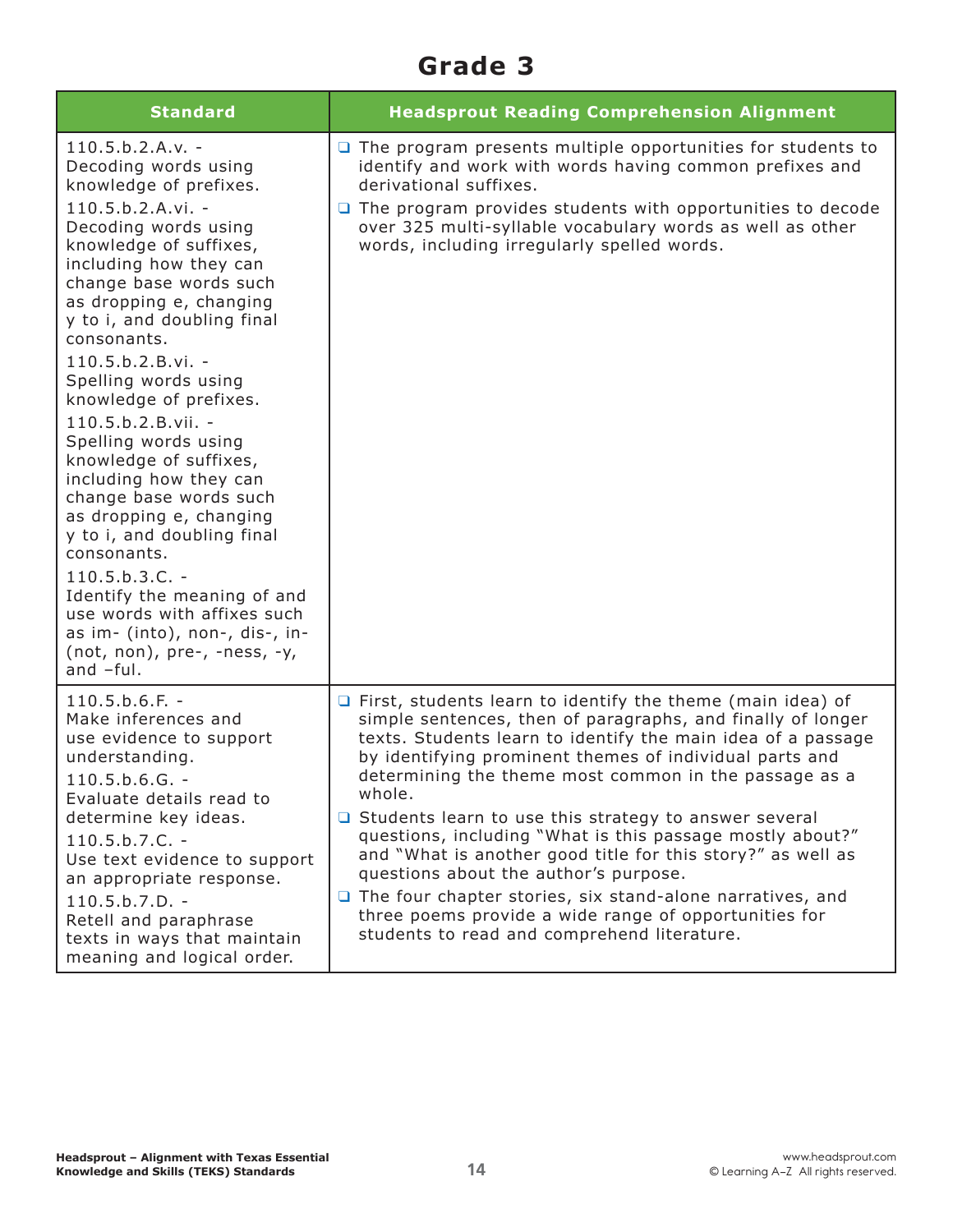## **Grade 3**

| <b>Standard</b>                                                                                                                                                                                                                                                                                                                                                                                                                                                                                                                                                                                                                                                                                                               | <b>Headsprout Reading Comprehension Alignment</b>                                                                                                                                                                                                                                                                                                                                                                                                                                                                                                                                                                                                                                                                                               |
|-------------------------------------------------------------------------------------------------------------------------------------------------------------------------------------------------------------------------------------------------------------------------------------------------------------------------------------------------------------------------------------------------------------------------------------------------------------------------------------------------------------------------------------------------------------------------------------------------------------------------------------------------------------------------------------------------------------------------------|-------------------------------------------------------------------------------------------------------------------------------------------------------------------------------------------------------------------------------------------------------------------------------------------------------------------------------------------------------------------------------------------------------------------------------------------------------------------------------------------------------------------------------------------------------------------------------------------------------------------------------------------------------------------------------------------------------------------------------------------------|
| $110.5.b.2.A.v. -$<br>Decoding words using<br>knowledge of prefixes.<br>$110.5.b.2.A.vi. -$<br>Decoding words using<br>knowledge of suffixes,<br>including how they can<br>change base words such<br>as dropping e, changing<br>y to i, and doubling final<br>consonants.<br>$110.5.b.2.B.vi. -$<br>Spelling words using<br>knowledge of prefixes.<br>$110.5.b.2.B.vii. -$<br>Spelling words using<br>knowledge of suffixes,<br>including how they can<br>change base words such<br>as dropping e, changing<br>y to i, and doubling final<br>consonants.<br>$110.5.b.3.C. -$<br>Identify the meaning of and<br>use words with affixes such<br>as im- (into), non-, dis-, in-<br>$(not, non), pre-, -ness, -y,$<br>and $-ful.$ | $\Box$ The program presents multiple opportunities for students to<br>identify and work with words having common prefixes and<br>derivational suffixes.<br>$\Box$ The program provides students with opportunities to decode<br>over 325 multi-syllable vocabulary words as well as other<br>words, including irregularly spelled words.                                                                                                                                                                                                                                                                                                                                                                                                        |
| $110.5.b.6.F. -$<br>Make inferences and<br>use evidence to support<br>understanding.<br>$110.5.b.6.G. -$<br>Evaluate details read to<br>determine key ideas.<br>$110.5.b.7.C. -$<br>Use text evidence to support<br>an appropriate response.<br>$110.5.b.7.D. -$<br>Retell and paraphrase<br>texts in ways that maintain<br>meaning and logical order.                                                                                                                                                                                                                                                                                                                                                                        | $\Box$ First, students learn to identify the theme (main idea) of<br>simple sentences, then of paragraphs, and finally of longer<br>texts. Students learn to identify the main idea of a passage<br>by identifying prominent themes of individual parts and<br>determining the theme most common in the passage as a<br>whole.<br>$\Box$ Students learn to use this strategy to answer several<br>questions, including "What is this passage mostly about?"<br>and "What is another good title for this story?" as well as<br>questions about the author's purpose.<br>$\Box$ The four chapter stories, six stand-alone narratives, and<br>three poems provide a wide range of opportunities for<br>students to read and comprehend literature. |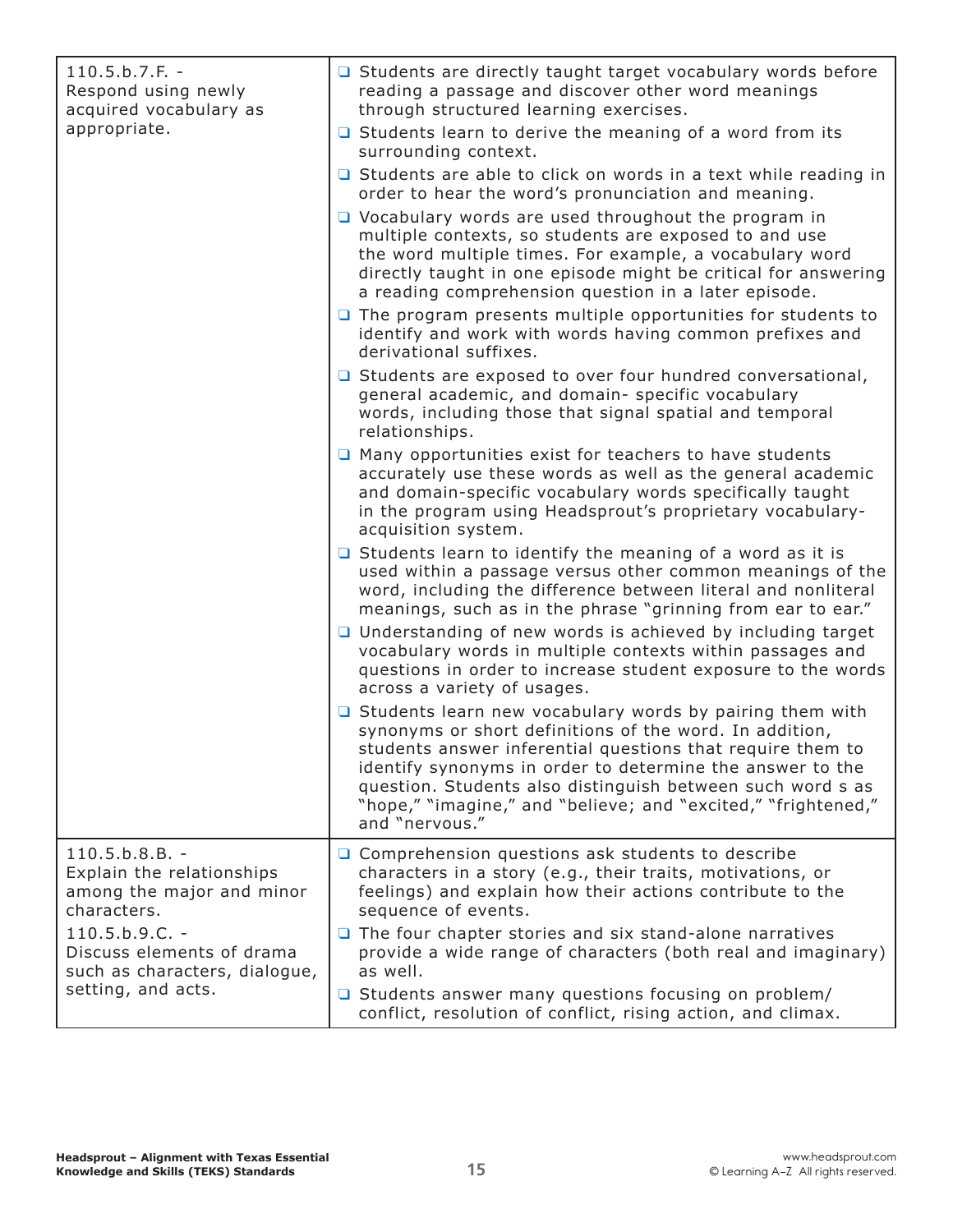| $110.5.b.7.F. -$<br>Respond using newly<br>acquired vocabulary as<br>appropriate.                                                                                                                 | $\Box$ Students are directly taught target vocabulary words before<br>reading a passage and discover other word meanings<br>through structured learning exercises.                                                                                                                                                                                                                                                                                         |
|---------------------------------------------------------------------------------------------------------------------------------------------------------------------------------------------------|------------------------------------------------------------------------------------------------------------------------------------------------------------------------------------------------------------------------------------------------------------------------------------------------------------------------------------------------------------------------------------------------------------------------------------------------------------|
|                                                                                                                                                                                                   | $\Box$ Students learn to derive the meaning of a word from its<br>surrounding context.                                                                                                                                                                                                                                                                                                                                                                     |
|                                                                                                                                                                                                   | $\Box$ Students are able to click on words in a text while reading in<br>order to hear the word's pronunciation and meaning.                                                                                                                                                                                                                                                                                                                               |
|                                                                                                                                                                                                   | $\Box$ Vocabulary words are used throughout the program in<br>multiple contexts, so students are exposed to and use<br>the word multiple times. For example, a vocabulary word<br>directly taught in one episode might be critical for answering<br>a reading comprehension question in a later episode.                                                                                                                                                   |
|                                                                                                                                                                                                   | $\Box$ The program presents multiple opportunities for students to<br>identify and work with words having common prefixes and<br>derivational suffixes.                                                                                                                                                                                                                                                                                                    |
|                                                                                                                                                                                                   | □ Students are exposed to over four hundred conversational,<br>general academic, and domain- specific vocabulary<br>words, including those that signal spatial and temporal<br>relationships.                                                                                                                                                                                                                                                              |
|                                                                                                                                                                                                   | $\Box$ Many opportunities exist for teachers to have students<br>accurately use these words as well as the general academic<br>and domain-specific vocabulary words specifically taught<br>in the program using Headsprout's proprietary vocabulary-<br>acquisition system.                                                                                                                                                                                |
|                                                                                                                                                                                                   | $\Box$ Students learn to identify the meaning of a word as it is<br>used within a passage versus other common meanings of the<br>word, including the difference between literal and nonliteral<br>meanings, such as in the phrase "grinning from ear to ear."<br>□ Understanding of new words is achieved by including target<br>vocabulary words in multiple contexts within passages and<br>questions in order to increase student exposure to the words |
|                                                                                                                                                                                                   | across a variety of usages.<br>$\Box$ Students learn new vocabulary words by pairing them with<br>synonyms or short definitions of the word. In addition,<br>students answer inferential questions that require them to<br>identify synonyms in order to determine the answer to the<br>question. Students also distinguish between such word s as<br>"hope," "imagine," and "believe; and "excited," "frightened,"<br>and "nervous."                      |
| $110.5.b.8.B. -$<br>Explain the relationships<br>among the major and minor<br>characters.<br>$110.5.b.9.C. -$<br>Discuss elements of drama<br>such as characters, dialogue,<br>setting, and acts. | $\Box$ Comprehension questions ask students to describe<br>characters in a story (e.g., their traits, motivations, or<br>feelings) and explain how their actions contribute to the<br>sequence of events.                                                                                                                                                                                                                                                  |
|                                                                                                                                                                                                   | $\Box$ The four chapter stories and six stand-alone narratives<br>provide a wide range of characters (both real and imaginary)<br>as well.                                                                                                                                                                                                                                                                                                                 |
|                                                                                                                                                                                                   | □ Students answer many questions focusing on problem/<br>conflict, resolution of conflict, rising action, and climax.                                                                                                                                                                                                                                                                                                                                      |